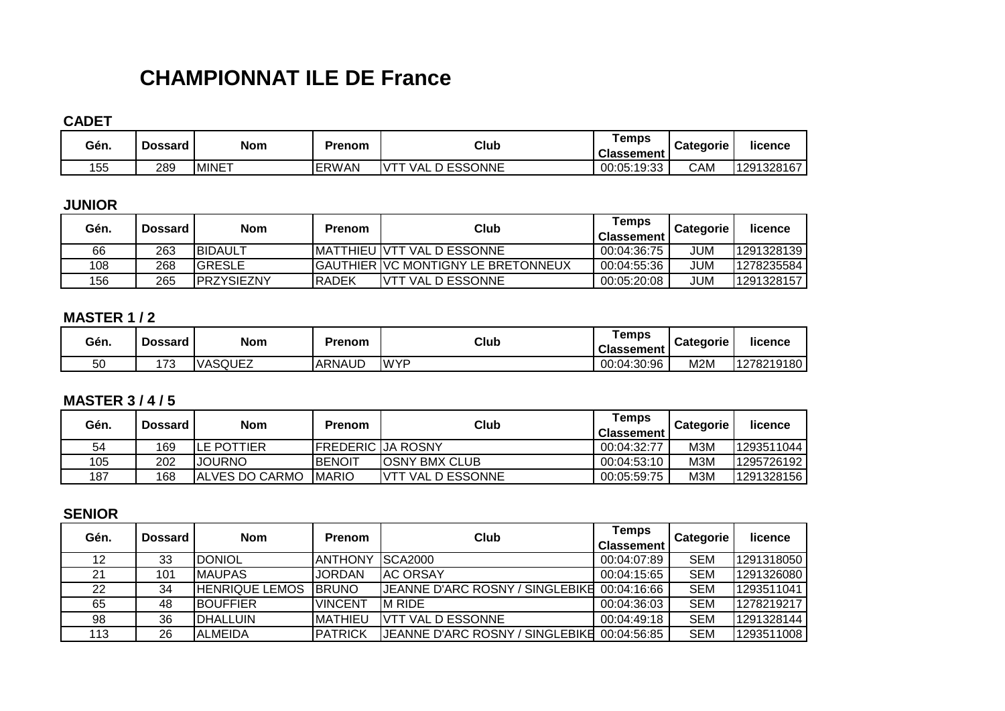# **CHAMPIONNAT ILE DE France**

**CADET**

| Gén. | Dossard | <b>Nom</b>    | Prenom       | Club                                  | ⊺emps<br><b>Classement</b> | <b>Categorie</b> | licence    |
|------|---------|---------------|--------------|---------------------------------------|----------------------------|------------------|------------|
| 155  | 289     | <b>IMINET</b> | <b>ERWAN</b> | <b>ESSONNE</b><br>$\sqrt{11}$<br>∵VA∟ | 00:05:19:33                | <b>CAM</b>       | 1291328167 |

# **JUNIOR**

| Gén. | <b>Dossard</b> | <b>Nom</b>         | <b>Prenom</b> | Club                                        | Temps<br><b>Classement</b> | <b>Categorie</b> | licence    |
|------|----------------|--------------------|---------------|---------------------------------------------|----------------------------|------------------|------------|
| 66   | 263            | <b>IBIDAULT</b>    |               | IMATTHIEU IVTT VAL D ESSONNE                | 00:04:36:75                | JUM              | 1291328139 |
| 108  | 268            | IGRESLE            |               | <b>IGAUTHIER IVC MONTIGNY LE BRETONNEUX</b> | 00:04:55:36                | JUM              | 1278235584 |
| 156  | 265            | <b>IPRZYSIEZNY</b> | IRADEK        | VAL D ESSONNE<br><b>NTT</b>                 | 00:05:20:08                | JUM              | 1291328157 |

#### **MASTER 1 / 2**

| Gén. | <b>Dossard</b> | <b>Nom</b>     | Prenom        | Club        | ⊺emps<br><b>Classement</b> | <b>Categorie</b> | licence    |
|------|----------------|----------------|---------------|-------------|----------------------------|------------------|------------|
| 50   | 172<br>ن ، ا   | <b>VASQUEZ</b> | <b>ARNAUD</b> | <b>IWYP</b> | 00:04:30:96                | M2N              | 1278219180 |

## **MASTER 3 / 4 / 5**

| Gén. | <b>Dossard</b> | Nom                    | <b>Prenom</b>            | Club                     | Temps<br><b>Classement</b> | <b>Categorie</b> | licence    |
|------|----------------|------------------------|--------------------------|--------------------------|----------------------------|------------------|------------|
| 54   | 169            | <b>ILE POTTIER</b>     | <b>FREDERIC JA ROSNY</b> |                          | 00:04:32:77                | M3M              | 1293511044 |
| 105  | 202            | <b>JOURNO</b>          | IBENOIT                  | <b>IOSNY BMX CLUB</b>    | 00:04:53:10                | M3M              | 1295726192 |
| 187  | 168            | <b>JALVES DO CARMO</b> | <b>IMARIO</b>            | <b>VTT VAL D ESSONNE</b> | 00:05:59:75                | M3M              | 1291328156 |

## **SENIOR**

| Gén. | <b>Dossard</b> | <b>Nom</b>            | <b>Prenom</b>   | Club                                        | Temps<br><b>Classement</b> | <b>Categorie</b> | licence    |
|------|----------------|-----------------------|-----------------|---------------------------------------------|----------------------------|------------------|------------|
| 12   | 33             | <b>DONIOL</b>         | <b>IANTHONY</b> | <b>ISCA2000</b>                             | 00:04:07:89                | <b>SEM</b>       | 1291318050 |
| 21   | 101            | <b>IMAUPAS</b>        | <b>JORDAN</b>   | <b>IAC ORSAY</b>                            | 00:04:15:65                | <b>SEM</b>       | 1291326080 |
| 22   | 34             | <b>HENRIQUE LEMOS</b> | <b>IBRUNO</b>   | JEANNE D'ARC ROSNY / SINGLEBIKE 00:04:16:66 |                            | <b>SEM</b>       | 1293511041 |
| 65   | 48             | <b>IBOUFFIER</b>      | <b>VINCENT</b>  | IM RIDE                                     | 00:04:36:03                | <b>SEM</b>       | 1278219217 |
| 98   | 36             | <b>IDHALLUIN</b>      | <b>IMATHIEU</b> | IVTT VAL D ESSONNE                          | 00:04:49:18                | <b>SEM</b>       | 1291328144 |
| 113  | 26             | <b>IALMEIDA</b>       | <b>PATRICK</b>  | JEANNE D'ARC ROSNY / SINGLEBIKE             | 00:04:56:85                | <b>SEM</b>       | 1293511008 |